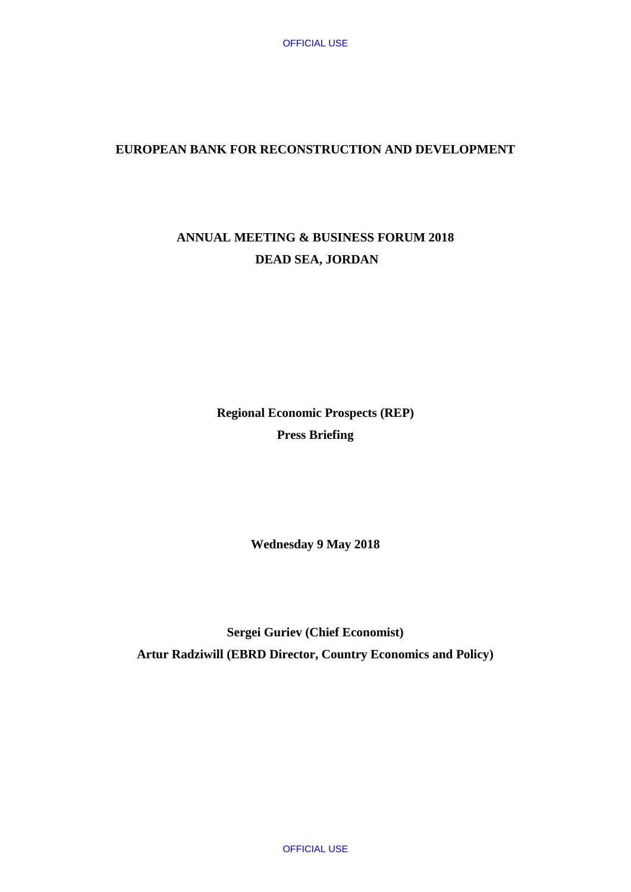## **EUROPEAN BANK FOR RECONSTRUCTION AND DEVELOPMENT**

# **ANNUAL MEETING & BUSINESS FORUM 2018 DEAD SEA, JORDAN**

**Regional Economic Prospects (REP) Press Briefing**

**Wednesday 9 May 2018**

**Sergei Guriev (Chief Economist) Artur Radziwill (EBRD Director, Country Economics and Policy)**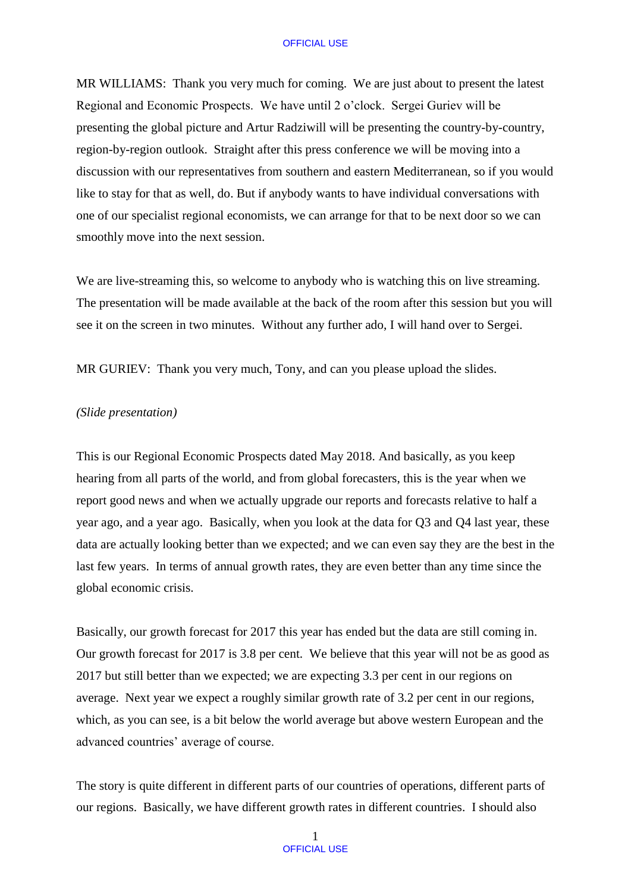MR WILLIAMS: Thank you very much for coming. We are just about to present the latest Regional and Economic Prospects. We have until 2 o'clock. Sergei Guriev will be presenting the global picture and Artur Radziwill will be presenting the country-by-country, region-by-region outlook. Straight after this press conference we will be moving into a discussion with our representatives from southern and eastern Mediterranean, so if you would like to stay for that as well, do. But if anybody wants to have individual conversations with one of our specialist regional economists, we can arrange for that to be next door so we can smoothly move into the next session.

We are live-streaming this, so welcome to anybody who is watching this on live streaming. The presentation will be made available at the back of the room after this session but you will see it on the screen in two minutes. Without any further ado, I will hand over to Sergei.

MR GURIEV: Thank you very much, Tony, and can you please upload the slides.

## *(Slide presentation)*

This is our Regional Economic Prospects dated May 2018. And basically, as you keep hearing from all parts of the world, and from global forecasters, this is the year when we report good news and when we actually upgrade our reports and forecasts relative to half a year ago, and a year ago. Basically, when you look at the data for Q3 and Q4 last year, these data are actually looking better than we expected; and we can even say they are the best in the last few years. In terms of annual growth rates, they are even better than any time since the global economic crisis.

Basically, our growth forecast for 2017 this year has ended but the data are still coming in. Our growth forecast for 2017 is 3.8 per cent. We believe that this year will not be as good as 2017 but still better than we expected; we are expecting 3.3 per cent in our regions on average. Next year we expect a roughly similar growth rate of 3.2 per cent in our regions, which, as you can see, is a bit below the world average but above western European and the advanced countries' average of course.

The story is quite different in different parts of our countries of operations, different parts of our regions. Basically, we have different growth rates in different countries. I should also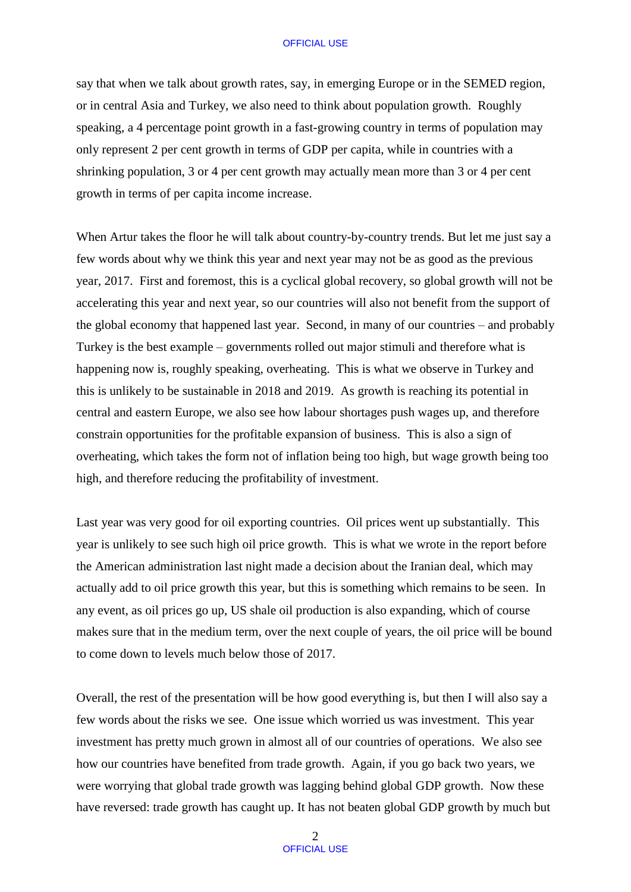say that when we talk about growth rates, say, in emerging Europe or in the SEMED region, or in central Asia and Turkey, we also need to think about population growth. Roughly speaking, a 4 percentage point growth in a fast-growing country in terms of population may only represent 2 per cent growth in terms of GDP per capita, while in countries with a shrinking population, 3 or 4 per cent growth may actually mean more than 3 or 4 per cent growth in terms of per capita income increase.

When Artur takes the floor he will talk about country-by-country trends. But let me just say a few words about why we think this year and next year may not be as good as the previous year, 2017. First and foremost, this is a cyclical global recovery, so global growth will not be accelerating this year and next year, so our countries will also not benefit from the support of the global economy that happened last year. Second, in many of our countries – and probably Turkey is the best example – governments rolled out major stimuli and therefore what is happening now is, roughly speaking, overheating. This is what we observe in Turkey and this is unlikely to be sustainable in 2018 and 2019. As growth is reaching its potential in central and eastern Europe, we also see how labour shortages push wages up, and therefore constrain opportunities for the profitable expansion of business. This is also a sign of overheating, which takes the form not of inflation being too high, but wage growth being too high, and therefore reducing the profitability of investment.

Last year was very good for oil exporting countries. Oil prices went up substantially. This year is unlikely to see such high oil price growth. This is what we wrote in the report before the American administration last night made a decision about the Iranian deal, which may actually add to oil price growth this year, but this is something which remains to be seen. In any event, as oil prices go up, US shale oil production is also expanding, which of course makes sure that in the medium term, over the next couple of years, the oil price will be bound to come down to levels much below those of 2017.

Overall, the rest of the presentation will be how good everything is, but then I will also say a few words about the risks we see. One issue which worried us was investment. This year investment has pretty much grown in almost all of our countries of operations. We also see how our countries have benefited from trade growth. Again, if you go back two years, we were worrying that global trade growth was lagging behind global GDP growth. Now these have reversed: trade growth has caught up. It has not beaten global GDP growth by much but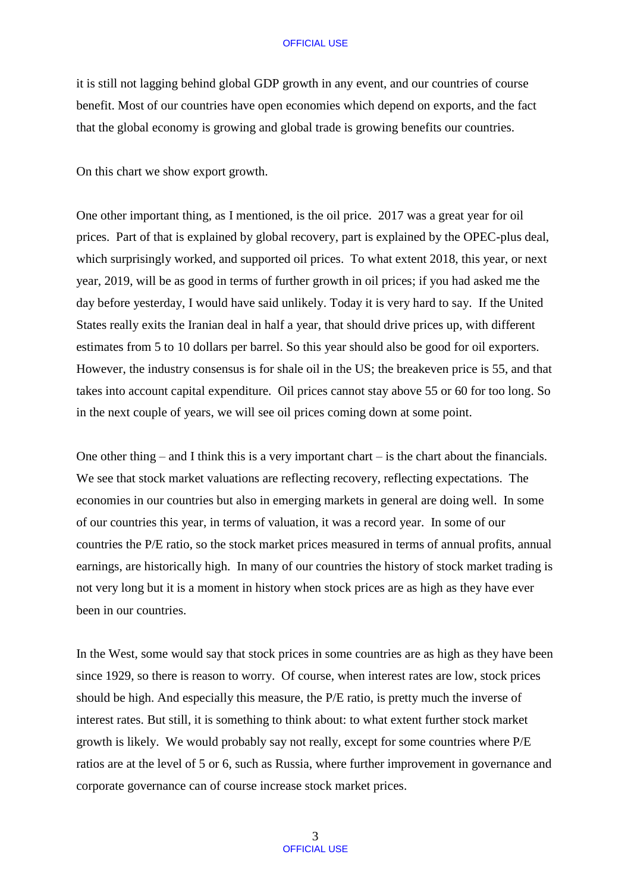it is still not lagging behind global GDP growth in any event, and our countries of course benefit. Most of our countries have open economies which depend on exports, and the fact that the global economy is growing and global trade is growing benefits our countries.

On this chart we show export growth.

One other important thing, as I mentioned, is the oil price. 2017 was a great year for oil prices. Part of that is explained by global recovery, part is explained by the OPEC-plus deal, which surprisingly worked, and supported oil prices. To what extent 2018, this year, or next year, 2019, will be as good in terms of further growth in oil prices; if you had asked me the day before yesterday, I would have said unlikely. Today it is very hard to say. If the United States really exits the Iranian deal in half a year, that should drive prices up, with different estimates from 5 to 10 dollars per barrel. So this year should also be good for oil exporters. However, the industry consensus is for shale oil in the US; the breakeven price is 55, and that takes into account capital expenditure. Oil prices cannot stay above 55 or 60 for too long. So in the next couple of years, we will see oil prices coming down at some point.

One other thing – and I think this is a very important chart – is the chart about the financials. We see that stock market valuations are reflecting recovery, reflecting expectations. The economies in our countries but also in emerging markets in general are doing well. In some of our countries this year, in terms of valuation, it was a record year. In some of our countries the P/E ratio, so the stock market prices measured in terms of annual profits, annual earnings, are historically high. In many of our countries the history of stock market trading is not very long but it is a moment in history when stock prices are as high as they have ever been in our countries.

In the West, some would say that stock prices in some countries are as high as they have been since 1929, so there is reason to worry. Of course, when interest rates are low, stock prices should be high. And especially this measure, the P/E ratio, is pretty much the inverse of interest rates. But still, it is something to think about: to what extent further stock market growth is likely. We would probably say not really, except for some countries where P/E ratios are at the level of 5 or 6, such as Russia, where further improvement in governance and corporate governance can of course increase stock market prices.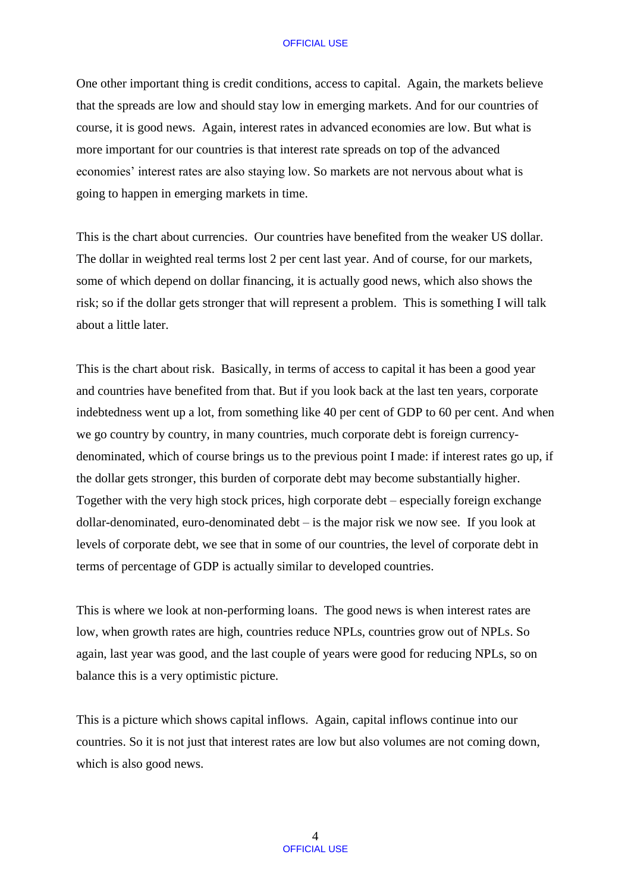One other important thing is credit conditions, access to capital. Again, the markets believe that the spreads are low and should stay low in emerging markets. And for our countries of course, it is good news. Again, interest rates in advanced economies are low. But what is more important for our countries is that interest rate spreads on top of the advanced economies' interest rates are also staying low. So markets are not nervous about what is going to happen in emerging markets in time.

This is the chart about currencies. Our countries have benefited from the weaker US dollar. The dollar in weighted real terms lost 2 per cent last year. And of course, for our markets, some of which depend on dollar financing, it is actually good news, which also shows the risk; so if the dollar gets stronger that will represent a problem. This is something I will talk about a little later.

This is the chart about risk. Basically, in terms of access to capital it has been a good year and countries have benefited from that. But if you look back at the last ten years, corporate indebtedness went up a lot, from something like 40 per cent of GDP to 60 per cent. And when we go country by country, in many countries, much corporate debt is foreign currencydenominated, which of course brings us to the previous point I made: if interest rates go up, if the dollar gets stronger, this burden of corporate debt may become substantially higher. Together with the very high stock prices, high corporate debt – especially foreign exchange dollar-denominated, euro-denominated debt – is the major risk we now see. If you look at levels of corporate debt, we see that in some of our countries, the level of corporate debt in terms of percentage of GDP is actually similar to developed countries.

This is where we look at non-performing loans. The good news is when interest rates are low, when growth rates are high, countries reduce NPLs, countries grow out of NPLs. So again, last year was good, and the last couple of years were good for reducing NPLs, so on balance this is a very optimistic picture.

This is a picture which shows capital inflows. Again, capital inflows continue into our countries. So it is not just that interest rates are low but also volumes are not coming down, which is also good news.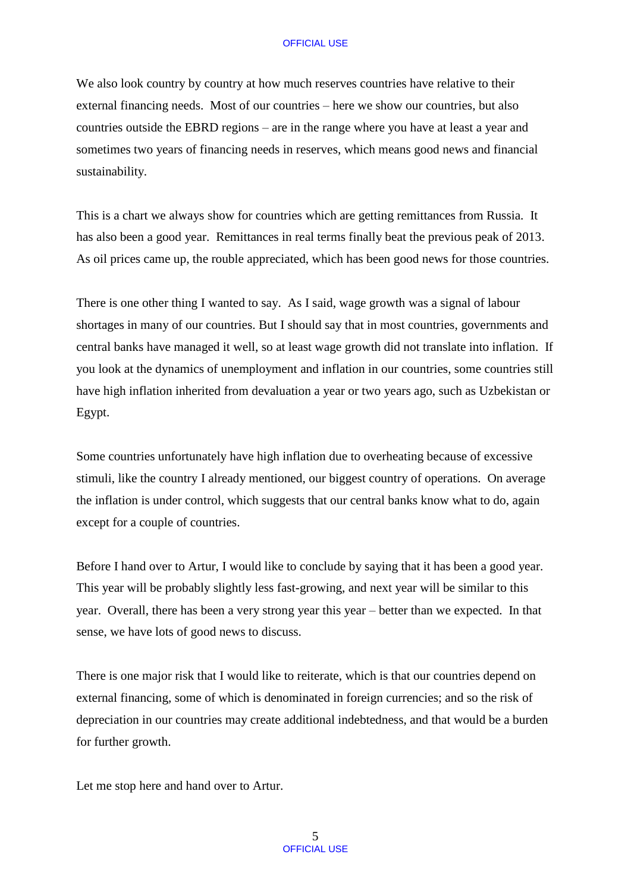We also look country by country at how much reserves countries have relative to their external financing needs. Most of our countries – here we show our countries, but also countries outside the EBRD regions – are in the range where you have at least a year and sometimes two years of financing needs in reserves, which means good news and financial sustainability.

This is a chart we always show for countries which are getting remittances from Russia. It has also been a good year. Remittances in real terms finally beat the previous peak of 2013. As oil prices came up, the rouble appreciated, which has been good news for those countries.

There is one other thing I wanted to say. As I said, wage growth was a signal of labour shortages in many of our countries. But I should say that in most countries, governments and central banks have managed it well, so at least wage growth did not translate into inflation. If you look at the dynamics of unemployment and inflation in our countries, some countries still have high inflation inherited from devaluation a year or two years ago, such as Uzbekistan or Egypt.

Some countries unfortunately have high inflation due to overheating because of excessive stimuli, like the country I already mentioned, our biggest country of operations. On average the inflation is under control, which suggests that our central banks know what to do, again except for a couple of countries.

Before I hand over to Artur, I would like to conclude by saying that it has been a good year. This year will be probably slightly less fast-growing, and next year will be similar to this year. Overall, there has been a very strong year this year – better than we expected. In that sense, we have lots of good news to discuss.

There is one major risk that I would like to reiterate, which is that our countries depend on external financing, some of which is denominated in foreign currencies; and so the risk of depreciation in our countries may create additional indebtedness, and that would be a burden for further growth.

Let me stop here and hand over to Artur.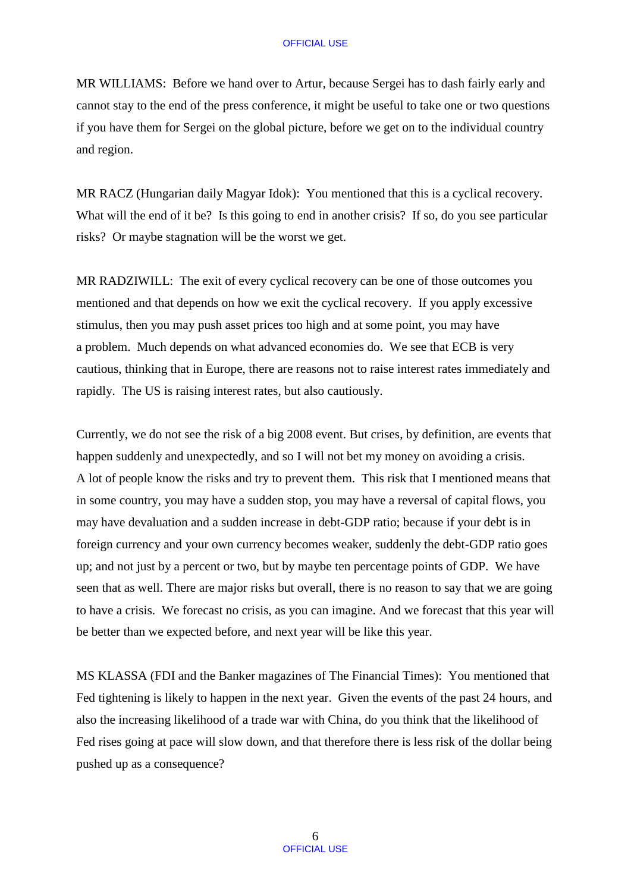MR WILLIAMS: Before we hand over to Artur, because Sergei has to dash fairly early and cannot stay to the end of the press conference, it might be useful to take one or two questions if you have them for Sergei on the global picture, before we get on to the individual country and region.

MR RACZ (Hungarian daily Magyar Idok): You mentioned that this is a cyclical recovery. What will the end of it be? Is this going to end in another crisis? If so, do you see particular risks? Or maybe stagnation will be the worst we get.

MR RADZIWILL: The exit of every cyclical recovery can be one of those outcomes you mentioned and that depends on how we exit the cyclical recovery. If you apply excessive stimulus, then you may push asset prices too high and at some point, you may have a problem. Much depends on what advanced economies do. We see that ECB is very cautious, thinking that in Europe, there are reasons not to raise interest rates immediately and rapidly. The US is raising interest rates, but also cautiously.

Currently, we do not see the risk of a big 2008 event. But crises, by definition, are events that happen suddenly and unexpectedly, and so I will not bet my money on avoiding a crisis. A lot of people know the risks and try to prevent them. This risk that I mentioned means that in some country, you may have a sudden stop, you may have a reversal of capital flows, you may have devaluation and a sudden increase in debt-GDP ratio; because if your debt is in foreign currency and your own currency becomes weaker, suddenly the debt-GDP ratio goes up; and not just by a percent or two, but by maybe ten percentage points of GDP. We have seen that as well. There are major risks but overall, there is no reason to say that we are going to have a crisis. We forecast no crisis, as you can imagine. And we forecast that this year will be better than we expected before, and next year will be like this year.

MS KLASSA (FDI and the Banker magazines of The Financial Times): You mentioned that Fed tightening is likely to happen in the next year. Given the events of the past 24 hours, and also the increasing likelihood of a trade war with China, do you think that the likelihood of Fed rises going at pace will slow down, and that therefore there is less risk of the dollar being pushed up as a consequence?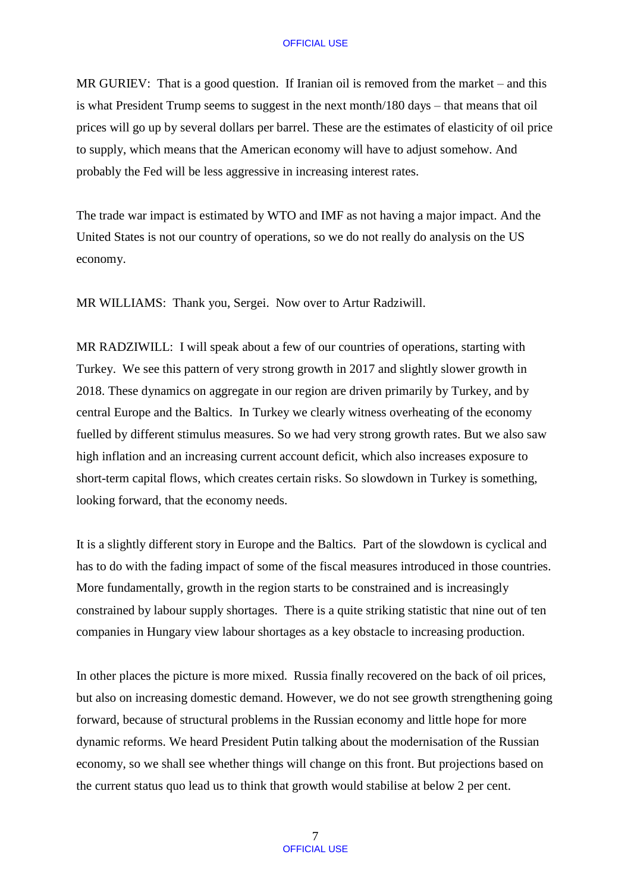MR GURIEV: That is a good question. If Iranian oil is removed from the market – and this is what President Trump seems to suggest in the next month/180 days – that means that oil prices will go up by several dollars per barrel. These are the estimates of elasticity of oil price to supply, which means that the American economy will have to adjust somehow. And probably the Fed will be less aggressive in increasing interest rates.

The trade war impact is estimated by WTO and IMF as not having a major impact. And the United States is not our country of operations, so we do not really do analysis on the US economy.

MR WILLIAMS: Thank you, Sergei. Now over to Artur Radziwill.

MR RADZIWILL: I will speak about a few of our countries of operations, starting with Turkey. We see this pattern of very strong growth in 2017 and slightly slower growth in 2018. These dynamics on aggregate in our region are driven primarily by Turkey, and by central Europe and the Baltics. In Turkey we clearly witness overheating of the economy fuelled by different stimulus measures. So we had very strong growth rates. But we also saw high inflation and an increasing current account deficit, which also increases exposure to short-term capital flows, which creates certain risks. So slowdown in Turkey is something, looking forward, that the economy needs.

It is a slightly different story in Europe and the Baltics. Part of the slowdown is cyclical and has to do with the fading impact of some of the fiscal measures introduced in those countries. More fundamentally, growth in the region starts to be constrained and is increasingly constrained by labour supply shortages. There is a quite striking statistic that nine out of ten companies in Hungary view labour shortages as a key obstacle to increasing production.

In other places the picture is more mixed. Russia finally recovered on the back of oil prices, but also on increasing domestic demand. However, we do not see growth strengthening going forward, because of structural problems in the Russian economy and little hope for more dynamic reforms. We heard President Putin talking about the modernisation of the Russian economy, so we shall see whether things will change on this front. But projections based on the current status quo lead us to think that growth would stabilise at below 2 per cent.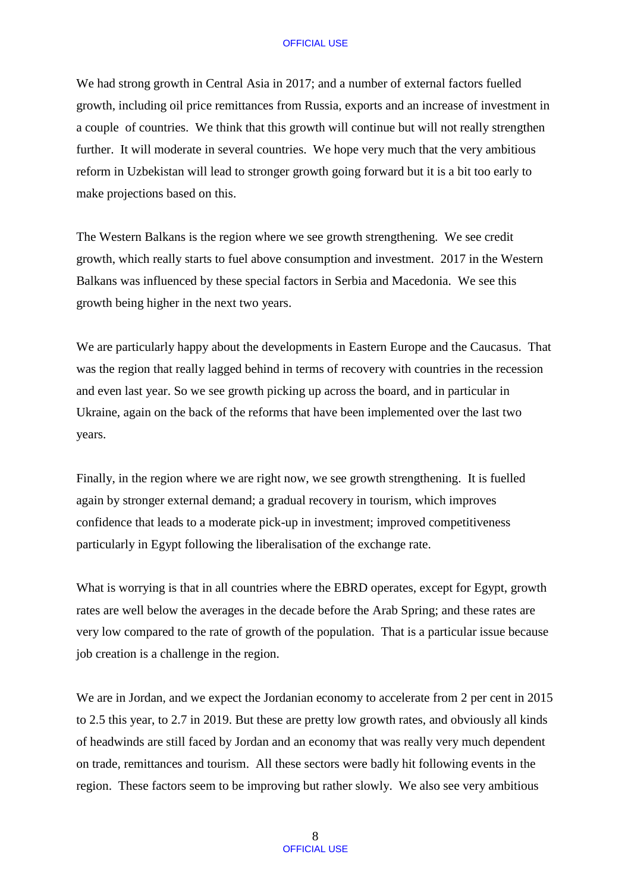We had strong growth in Central Asia in 2017; and a number of external factors fuelled growth, including oil price remittances from Russia, exports and an increase of investment in a couple of countries. We think that this growth will continue but will not really strengthen further. It will moderate in several countries. We hope very much that the very ambitious reform in Uzbekistan will lead to stronger growth going forward but it is a bit too early to make projections based on this.

The Western Balkans is the region where we see growth strengthening. We see credit growth, which really starts to fuel above consumption and investment. 2017 in the Western Balkans was influenced by these special factors in Serbia and Macedonia. We see this growth being higher in the next two years.

We are particularly happy about the developments in Eastern Europe and the Caucasus. That was the region that really lagged behind in terms of recovery with countries in the recession and even last year. So we see growth picking up across the board, and in particular in Ukraine, again on the back of the reforms that have been implemented over the last two years.

Finally, in the region where we are right now, we see growth strengthening. It is fuelled again by stronger external demand; a gradual recovery in tourism, which improves confidence that leads to a moderate pick-up in investment; improved competitiveness particularly in Egypt following the liberalisation of the exchange rate.

What is worrying is that in all countries where the EBRD operates, except for Egypt, growth rates are well below the averages in the decade before the Arab Spring; and these rates are very low compared to the rate of growth of the population. That is a particular issue because job creation is a challenge in the region.

We are in Jordan, and we expect the Jordanian economy to accelerate from 2 per cent in 2015 to 2.5 this year, to 2.7 in 2019. But these are pretty low growth rates, and obviously all kinds of headwinds are still faced by Jordan and an economy that was really very much dependent on trade, remittances and tourism. All these sectors were badly hit following events in the region. These factors seem to be improving but rather slowly. We also see very ambitious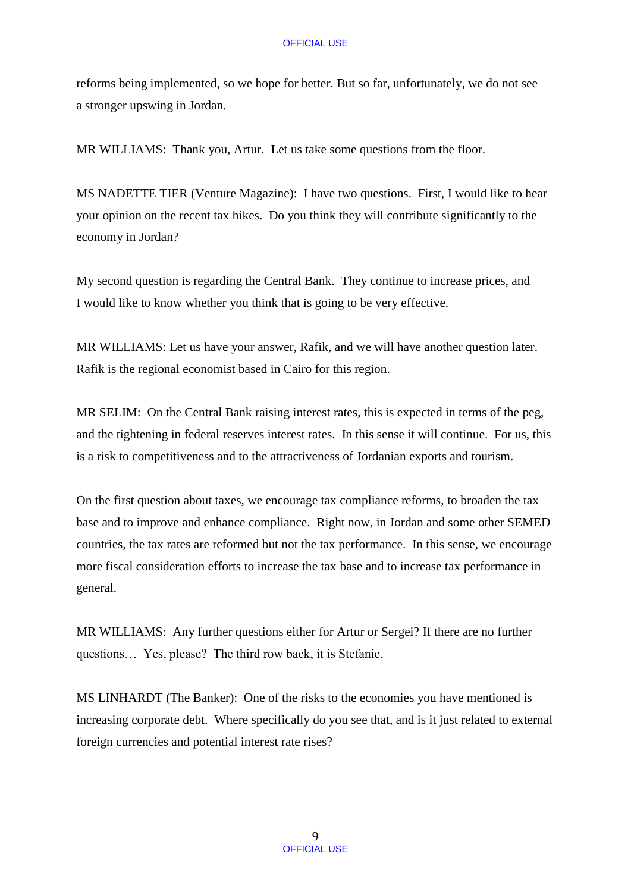reforms being implemented, so we hope for better. But so far, unfortunately, we do not see a stronger upswing in Jordan.

MR WILLIAMS: Thank you, Artur. Let us take some questions from the floor.

MS NADETTE TIER (Venture Magazine): I have two questions. First, I would like to hear your opinion on the recent tax hikes. Do you think they will contribute significantly to the economy in Jordan?

My second question is regarding the Central Bank. They continue to increase prices, and I would like to know whether you think that is going to be very effective.

MR WILLIAMS: Let us have your answer, Rafik, and we will have another question later. Rafik is the regional economist based in Cairo for this region.

MR SELIM: On the Central Bank raising interest rates, this is expected in terms of the peg, and the tightening in federal reserves interest rates. In this sense it will continue. For us, this is a risk to competitiveness and to the attractiveness of Jordanian exports and tourism.

On the first question about taxes, we encourage tax compliance reforms, to broaden the tax base and to improve and enhance compliance. Right now, in Jordan and some other SEMED countries, the tax rates are reformed but not the tax performance. In this sense, we encourage more fiscal consideration efforts to increase the tax base and to increase tax performance in general.

MR WILLIAMS: Any further questions either for Artur or Sergei? If there are no further questions… Yes, please? The third row back, it is Stefanie.

MS LINHARDT (The Banker): One of the risks to the economies you have mentioned is increasing corporate debt. Where specifically do you see that, and is it just related to external foreign currencies and potential interest rate rises?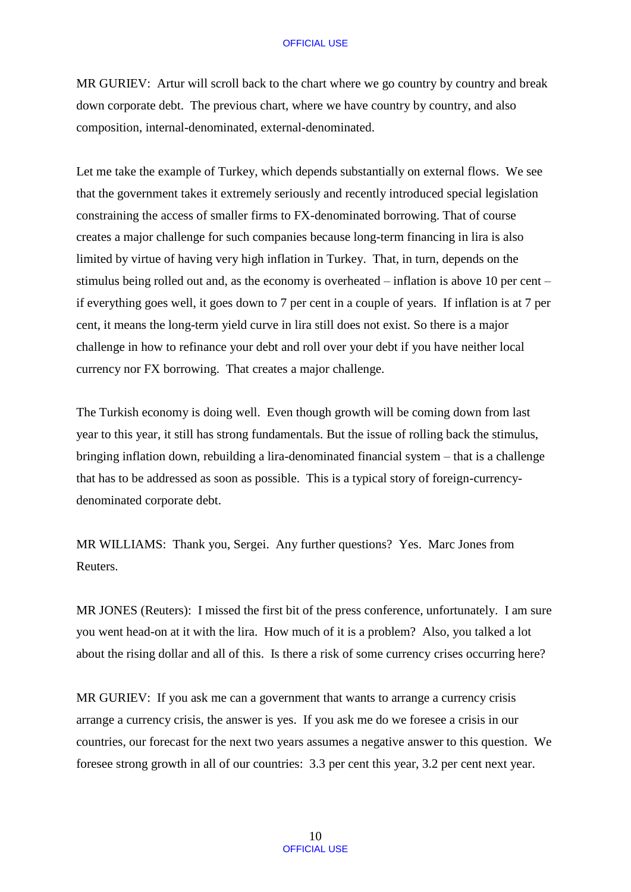MR GURIEV: Artur will scroll back to the chart where we go country by country and break down corporate debt. The previous chart, where we have country by country, and also composition, internal-denominated, external-denominated.

Let me take the example of Turkey, which depends substantially on external flows. We see that the government takes it extremely seriously and recently introduced special legislation constraining the access of smaller firms to FX-denominated borrowing. That of course creates a major challenge for such companies because long-term financing in lira is also limited by virtue of having very high inflation in Turkey. That, in turn, depends on the stimulus being rolled out and, as the economy is overheated – inflation is above 10 per cent – if everything goes well, it goes down to 7 per cent in a couple of years. If inflation is at 7 per cent, it means the long-term yield curve in lira still does not exist. So there is a major challenge in how to refinance your debt and roll over your debt if you have neither local currency nor FX borrowing. That creates a major challenge.

The Turkish economy is doing well. Even though growth will be coming down from last year to this year, it still has strong fundamentals. But the issue of rolling back the stimulus, bringing inflation down, rebuilding a lira-denominated financial system – that is a challenge that has to be addressed as soon as possible. This is a typical story of foreign-currencydenominated corporate debt.

MR WILLIAMS: Thank you, Sergei. Any further questions? Yes. Marc Jones from Reuters.

MR JONES (Reuters): I missed the first bit of the press conference, unfortunately. I am sure you went head-on at it with the lira. How much of it is a problem? Also, you talked a lot about the rising dollar and all of this. Is there a risk of some currency crises occurring here?

MR GURIEV: If you ask me can a government that wants to arrange a currency crisis arrange a currency crisis, the answer is yes. If you ask me do we foresee a crisis in our countries, our forecast for the next two years assumes a negative answer to this question. We foresee strong growth in all of our countries: 3.3 per cent this year, 3.2 per cent next year.